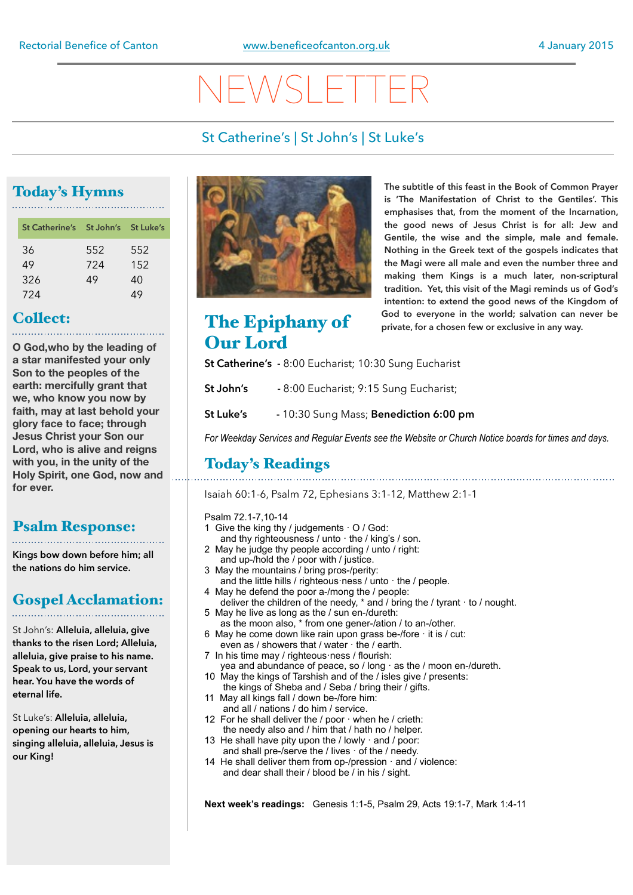# NEWSLETTER

## St Catherine's | St John's | St Luke's

# Today's Hymns

| St Catherine's St John's St Luke's |     |     |
|------------------------------------|-----|-----|
| 36                                 | 552 | 552 |
| 49                                 | 724 | 152 |
| 326                                | 49  | 40  |
| 724                                |     | 49  |

# Collect:

**O God,who by the leading of a star manifested your only Son to the peoples of the earth: mercifully grant that we, who know you now by faith, may at last behold your glory face to face; through Jesus Christ your Son our Lord, who is alive and reigns with you, in the unity of the Holy Spirit, one God, now and for ever.** 

#### Psalm Response:

**Kings bow down before him; all the nations do him service.**

### Gospel Acclamation:

St John's: **Alleluia, alleluia, give thanks to the risen Lord; Alleluia,** 

**alleluia, give praise to his name. Speak to us, Lord, your servant hear. You have the words of eternal life.** 

St Luke's: **Alleluia, alleluia, opening our hearts to him, singing alleluia, alleluia, Jesus is our King!**



**The subtitle of this feast in the Book of Common Prayer is 'The Manifestation of Christ to the Gentiles'. This emphasises that, from the moment of the Incarnation, the good news of Jesus Christ is for all: Jew and Gentile, the wise and the simple, male and female. Nothing in the Greek text of the gospels indicates that the Magi were all male and even the number three and making them Kings is a much later, non-scriptural tradition. Yet, this visit of the Magi reminds us of God's intention: to extend the good news of the Kingdom of God to everyone in the world; salvation can never be private, for a chosen few or exclusive in any way.** 

# The Epiphany of Our Lord

**St Catherine's -** 8:00 Eucharist; 10:30 Sung Eucharist

- **St John's** 8:00 Eucharist; 9:15 Sung Eucharist;
- **St Luke's** 10:30 Sung Mass; **Benediction 6:00 pm**

*For Weekday Services and Regular Events see the Website or Church Notice boards for times and days.*

# Today's Readings

Isaiah 60:1-6, Psalm 72, Ephesians 3:1-12, Matthew 2:1-1

Psalm 72.1-7,10-14

- 1 Give the king thy / judgements  $\cdot$  O / God:
- and thy righteousness / unto  $\cdot$  the / king's / son.
- 2 May he judge thy people according / unto / right:
- and up-/hold the / poor with / justice. 3 May the mountains / bring pros-/perity:
- and the little hills / righteous·ness / unto · the / people.
- 4 May he defend the poor a-/mong the / people: deliver the children of the needy, \* and / bring the / tyrant · to / nought. 5 May he live as long as the / sun en-/dureth:
- as the moon also, \* from one gener-/ation / to an-/other. 6 May he come down like rain upon grass be-/fore  $\cdot$  it is / cut:
- even as / showers that / water · the / earth. 7 In his time may / righteous·ness / flourish:
- yea and abundance of peace, so / long · as the / moon en-/dureth. 10 May the kings of Tarshish and of the / isles give / presents:
- the kings of Sheba and / Seba / bring their / gifts. 11 May all kings fall / down be-/fore him:
- and all / nations / do him / service.
- 12For he shall deliver the / poor · when he / crieth: the needy also and / him that / hath no / helper.
- 13 He shall have pity upon the / lowly  $\cdot$  and / poor: and shall pre-/serve the / lives · of the / needy.
- 14 He shall deliver them from op-/pression · and / violence: and dear shall their / blood be / in his / sight.

**Next week's readings:** Genesis 1:1-5, Psalm 29, Acts 19:1-7, Mark 1:4-11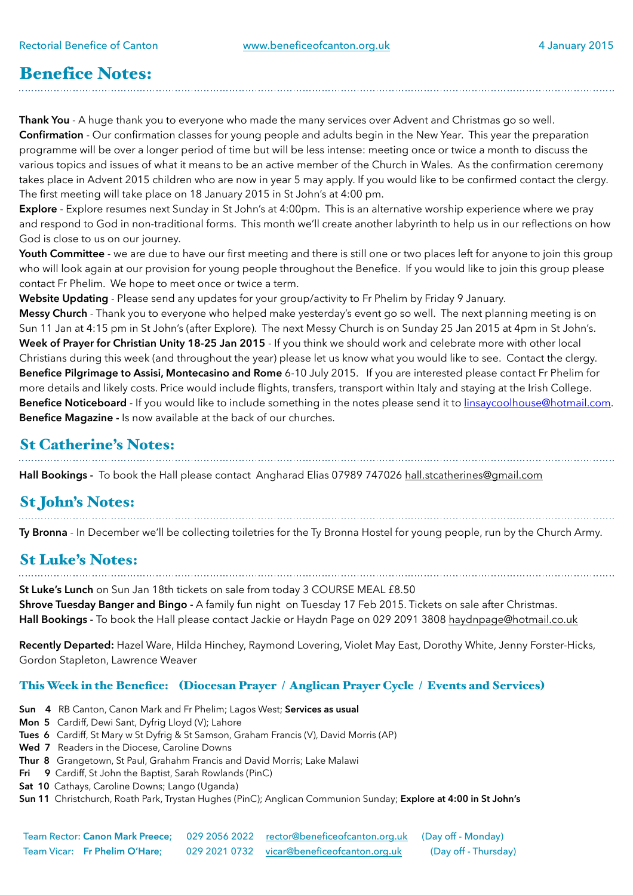# Benefice Notes:

**Thank You** - A huge thank you to everyone who made the many services over Advent and Christmas go so well. **Confirmation** - Our confirmation classes for young people and adults begin in the New Year. This year the preparation programme will be over a longer period of time but will be less intense: meeting once or twice a month to discuss the various topics and issues of what it means to be an active member of the Church in Wales. As the confirmation ceremony takes place in Advent 2015 children who are now in year 5 may apply. If you would like to be confirmed contact the clergy. The first meeting will take place on 18 January 2015 in St John's at 4:00 pm.

**Explore** - Explore resumes next Sunday in St John's at 4:00pm. This is an alternative worship experience where we pray and respond to God in non-traditional forms. This month we'll create another labyrinth to help us in our reflections on how God is close to us on our journey.

Youth Committee - we are due to have our first meeting and there is still one or two places left for anyone to join this group who will look again at our provision for young people throughout the Benefice. If you would like to join this group please contact Fr Phelim. We hope to meet once or twice a term.

**Website Updating** - Please send any updates for your group/activity to Fr Phelim by Friday 9 January.

**Messy Church** - Thank you to everyone who helped make yesterday's event go so well. The next planning meeting is on Sun 11 Jan at 4:15 pm in St John's (after Explore). The next Messy Church is on Sunday 25 Jan 2015 at 4pm in St John's. **Week of Prayer for Christian Unity 18-25 Jan 2015** - If you think we should work and celebrate more with other local Christians during this week (and throughout the year) please let us know what you would like to see. Contact the clergy. **Benefice Pilgrimage to Assisi, Montecasino and Rome** 6-10 July 2015. If you are interested please contact Fr Phelim for more details and likely costs. Price would include flights, transfers, transport within Italy and staying at the Irish College. Benefice Noticeboard - If you would like to include something in the notes please send it to [linsaycoolhouse@hotmail.com](mailto:linsaycoolhouse@hotmail.com). **Benefice Magazine -** Is now available at the back of our churches.

# St Catherine's Notes:

Hall Bookings - To book the Hall please contact Angharad Elias 07989 747026 [hall.stcatherines@gmail.com](mailto:hall.stcatherines@gmail.com)

# St John's Notes:

**Ty Bronna** - In December we'll be collecting toiletries for the Ty Bronna Hostel for young people, run by the Church Army.

# St Luke's Notes:

**St Luke's Lunch** on Sun Jan 18th tickets on sale from today 3 COURSE MEAL £8.50 **Shrove Tuesday Banger and Bingo -** A family fun night on Tuesday 17 Feb 2015. Tickets on sale after Christmas. Hall Bookings - To book the Hall please contact Jackie or Haydn Page on 029 2091 3808 [haydnpage@hotmail.co.uk](mailto:haydnpage@hotmail.co.uk)

**Recently Departed:** Hazel Ware, Hilda Hinchey, Raymond Lovering, Violet May East, Dorothy White, Jenny Forster-Hicks, Gordon Stapleton, Lawrence Weaver

#### This Week in the Benefice: (Diocesan Prayer / Anglican Prayer Cycle / Events and Services)

- **Sun 4** RB Canton, Canon Mark and Fr Phelim; Lagos West; **Services as usual**
- **Mon 5** Cardiff, Dewi Sant, Dyfrig Lloyd (V); Lahore
- **Tues 6** Cardiff, St Mary w St Dyfrig & St Samson, Graham Francis (V), David Morris (AP)
- **Wed 7** Readers in the Diocese, Caroline Downs
- **Thur 8** Grangetown, St Paul, Grahahm Francis and David Morris; Lake Malawi
- **Fri 9** Cardiff, St John the Baptist, Sarah Rowlands (PinC)
- **Sat 10** Cathays, Caroline Downs; Lango (Uganda)
- **Sun 11** Christchurch, Roath Park, Trystan Hughes (PinC); Anglican Communion Sunday; **Explore at 4:00 in St John's**

Team Rector: **Canon Mark Preece**; 029 2056 2022 [rector@beneficeofcanton.org.uk](mailto:rector@beneficeofcanton.org.uk) (Day off - Monday) Team Vicar: **Fr Phelim O'Hare**; 029 2021 0732 [vicar@beneficeofcanton.org.uk](mailto:vicar@beneficeofcanton.org.uk?subject=) (Day off - Thursday)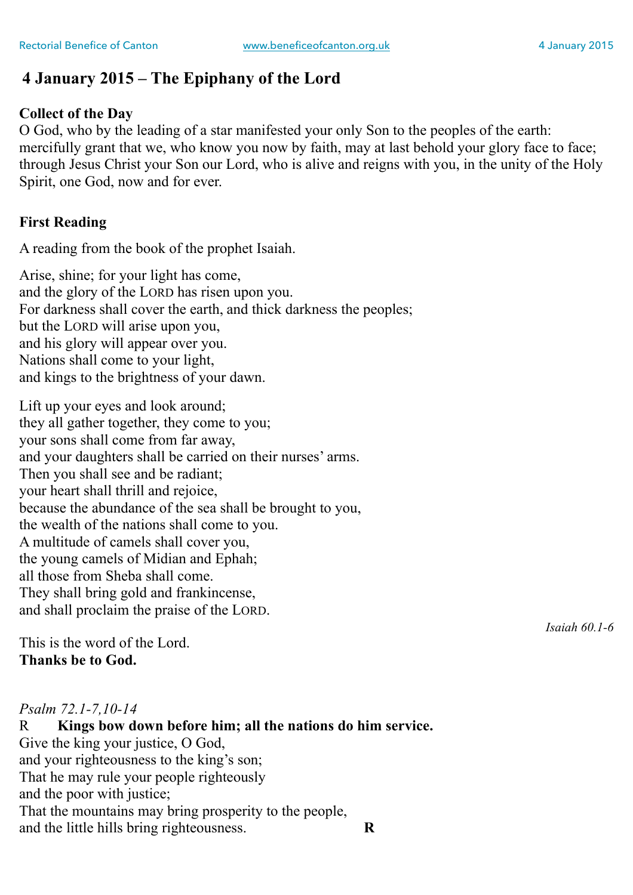# **4 January 2015 – The Epiphany of the Lord**

## **Collect of the Day**

O God, who by the leading of a star manifested your only Son to the peoples of the earth: mercifully grant that we, who know you now by faith, may at last behold your glory face to face; through Jesus Christ your Son our Lord, who is alive and reigns with you, in the unity of the Holy Spirit, one God, now and for ever.

## **First Reading**

A reading from the book of the prophet Isaiah.

Arise, shine; for your light has come, and the glory of the LORD has risen upon you. For darkness shall cover the earth, and thick darkness the peoples; but the LORD will arise upon you, and his glory will appear over you. Nations shall come to your light, and kings to the brightness of your dawn.

Lift up your eyes and look around; they all gather together, they come to you; your sons shall come from far away, and your daughters shall be carried on their nurses' arms. Then you shall see and be radiant; your heart shall thrill and rejoice, because the abundance of the sea shall be brought to you, the wealth of the nations shall come to you. A multitude of camels shall cover you, the young camels of Midian and Ephah; all those from Sheba shall come. They shall bring gold and frankincense, and shall proclaim the praise of the LORD.

This is the word of the Lord. **Thanks be to God.**

#### *Psalm 72.1-7,10-14*

R **Kings bow down before him; all the nations do him service.** Give the king your justice, O God, and your righteousness to the king's son; That he may rule your people righteously and the poor with justice; That the mountains may bring prosperity to the people, and the little hills bring righteousness. **R**

*Isaiah 60.1-6*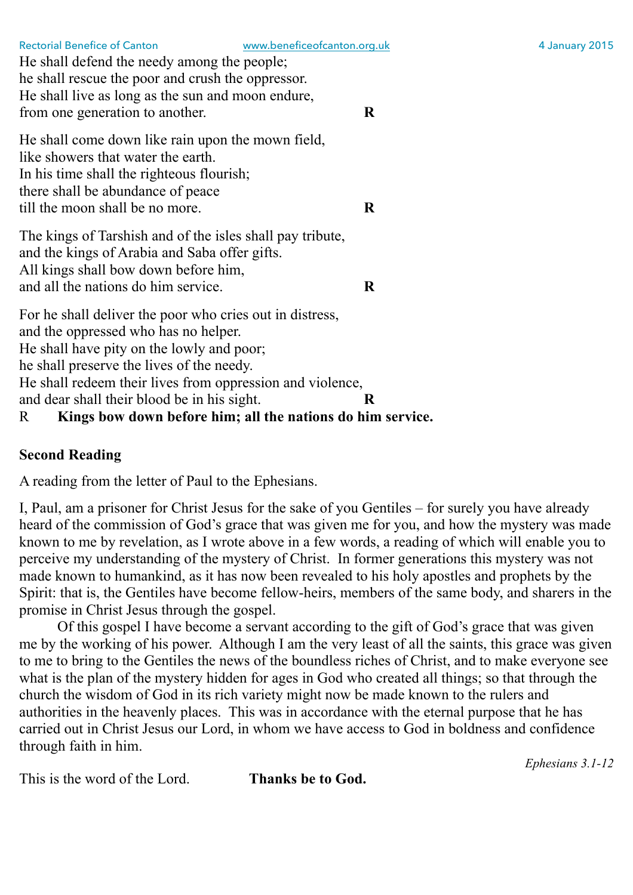He shall defend the needy among the people; he shall rescue the poor and crush the oppressor. He shall live as long as the sun and moon endure, from one generation to another. **R**

He shall come down like rain upon the mown field, like showers that water the earth. In his time shall the righteous flourish; there shall be abundance of peace till the moon shall be no more. **R**

The kings of Tarshish and of the isles shall pay tribute, and the kings of Arabia and Saba offer gifts. All kings shall bow down before him, and all the nations do him service. **R**

For he shall deliver the poor who cries out in distress, and the oppressed who has no helper. He shall have pity on the lowly and poor; he shall preserve the lives of the needy. He shall redeem their lives from oppression and violence, and dear shall their blood be in his sight. **R**

R **Kings bow down before him; all the nations do him service.**

#### **Second Reading**

A reading from the letter of Paul to the Ephesians.

I, Paul, am a prisoner for Christ Jesus for the sake of you Gentiles – for surely you have already heard of the commission of God's grace that was given me for you, and how the mystery was made known to me by revelation, as I wrote above in a few words, a reading of which will enable you to perceive my understanding of the mystery of Christ. In former generations this mystery was not made known to humankind, as it has now been revealed to his holy apostles and prophets by the Spirit: that is, the Gentiles have become fellow-heirs, members of the same body, and sharers in the promise in Christ Jesus through the gospel.

Of this gospel I have become a servant according to the gift of God's grace that was given me by the working of his power. Although I am the very least of all the saints, this grace was given to me to bring to the Gentiles the news of the boundless riches of Christ, and to make everyone see what is the plan of the mystery hidden for ages in God who created all things; so that through the church the wisdom of God in its rich variety might now be made known to the rulers and authorities in the heavenly places. This was in accordance with the eternal purpose that he has carried out in Christ Jesus our Lord, in whom we have access to God in boldness and confidence through faith in him.

This is the word of the Lord. **Thanks be to God.**

*Ephesians 3.1-12*